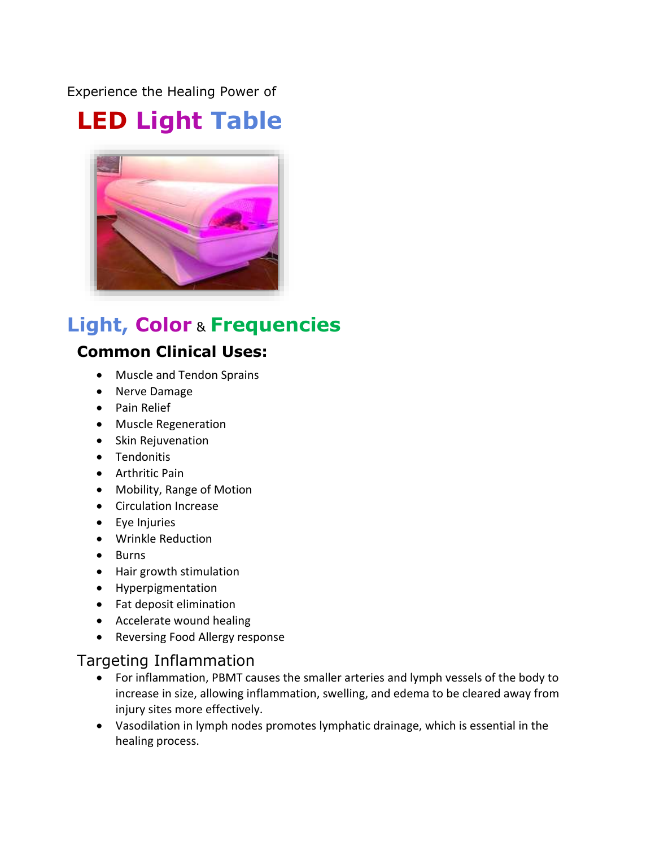Experience the Healing Power of

# **LED Light Table**



## **Light, Color** & **Frequencies**

## **Common Clinical Uses:**

- Muscle and Tendon Sprains
- Nerve Damage
- Pain Relief
- Muscle Regeneration
- Skin Rejuvenation
- Tendonitis
- Arthritic Pain
- Mobility, Range of Motion
- Circulation Increase
- Eye Injuries
- Wrinkle Reduction
- Burns
- Hair growth stimulation
- Hyperpigmentation
- Fat deposit elimination
- Accelerate wound healing
- Reversing Food Allergy response

## Targeting Inflammation

- For inflammation, PBMT causes the smaller arteries and lymph vessels of the body to increase in size, allowing inflammation, swelling, and edema to be cleared away from injury sites more effectively.
- Vasodilation in lymph nodes promotes lymphatic drainage, which is essential in the healing process.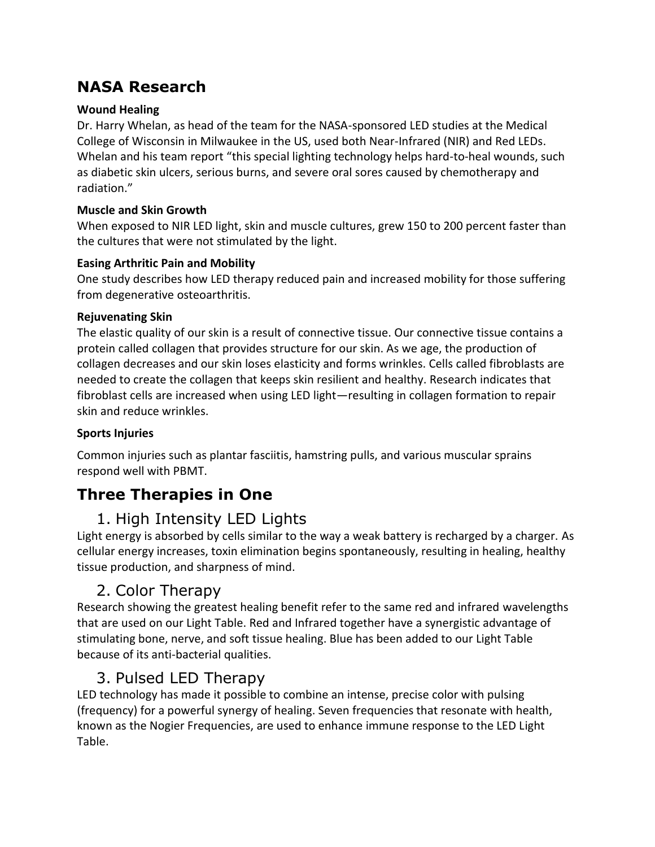## **NASA Research**

#### **Wound Healing**

Dr. Harry Whelan, as head of the team for the NASA-sponsored LED studies at the Medical College of Wisconsin in Milwaukee in the US, used both Near-Infrared (NIR) and Red LEDs. Whelan and his team report "this special lighting technology helps hard-to-heal wounds, such as diabetic skin ulcers, serious burns, and severe oral sores caused by chemotherapy and radiation."

#### **Muscle and Skin Growth**

When exposed to NIR LED light, skin and muscle cultures, grew 150 to 200 percent faster than the cultures that were not stimulated by the light.

#### **Easing Arthritic Pain and Mobility**

One study describes how LED therapy reduced pain and increased mobility for those suffering from degenerative osteoarthritis.

#### **Rejuvenating Skin**

The elastic quality of our skin is a result of connective tissue. Our connective tissue contains a protein called collagen that provides structure for our skin. As we age, the production of collagen decreases and our skin loses elasticity and forms wrinkles. Cells called fibroblasts are needed to create the collagen that keeps skin resilient and healthy. Research indicates that fibroblast cells are increased when using LED light—resulting in collagen formation to repair skin and reduce wrinkles.

#### **Sports Injuries**

Common injuries such as plantar fasciitis, hamstring pulls, and various muscular sprains respond well with PBMT.

## **Three Therapies in One**

## 1. High Intensity LED Lights

Light energy is absorbed by cells similar to the way a weak battery is recharged by a charger. As cellular energy increases, toxin elimination begins spontaneously, resulting in healing, healthy tissue production, and sharpness of mind.

## 2. Color Therapy

Research showing the greatest healing benefit refer to the same red and infrared wavelengths that are used on our Light Table. Red and Infrared together have a synergistic advantage of stimulating bone, nerve, and soft tissue healing. Blue has been added to our Light Table because of its anti-bacterial qualities.

## 3. Pulsed LED Therapy

LED technology has made it possible to combine an intense, precise color with pulsing (frequency) for a powerful synergy of healing. Seven frequencies that resonate with health, known as the Nogier Frequencies, are used to enhance immune response to the LED Light Table.